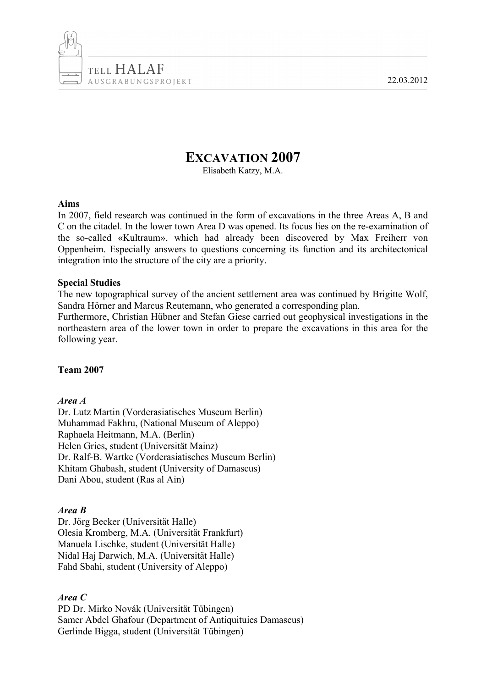22.03.2012



# **EXCAVATION 2007**

Elisabeth Katzy, M.A.

#### **Aims**

In 2007, field research was continued in the form of excavations in the three Areas A, B and C on the citadel. In the lower town Area D was opened. Its focus lies on the re-examination of the so-called «Kultraum», which had already been discovered by Max Freiherr von Oppenheim. Especially answers to questions concerning its function and its architectonical integration into the structure of the city are a priority.

## **Special Studies**

The new topographical survey of the ancient settlement area was continued by Brigitte Wolf, Sandra Hörner and Marcus Reutemann, who generated a corresponding plan.

Furthermore, Christian Hübner and Stefan Giese carried out geophysical investigations in the northeastern area of the lower town in order to prepare the excavations in this area for the following year.

## **Team 2007**

## *Area A*

Dr. Lutz Martin (Vorderasiatisches Museum Berlin) Muhammad Fakhru, (National Museum of Aleppo) Raphaela Heitmann, M.A. (Berlin) Helen Gries, student (Universität Mainz) Dr. Ralf-B. Wartke (Vorderasiatisches Museum Berlin) Khitam Ghabash, student (University of Damascus) Dani Abou, student (Ras al Ain)

## *Area B*

Dr. Jörg Becker (Universität Halle) Olesia Kromberg, M.A. (Universität Frankfurt) Manuela Lischke, student (Universität Halle) Nidal Haj Darwich, M.A. (Universität Halle) Fahd Sbahi, student (University of Aleppo)

## *Area C*

PD Dr. Mirko Novák (Universität Tübingen) Samer Abdel Ghafour (Department of Antiquituies Damascus) Gerlinde Bigga, student (Universität Tübingen)